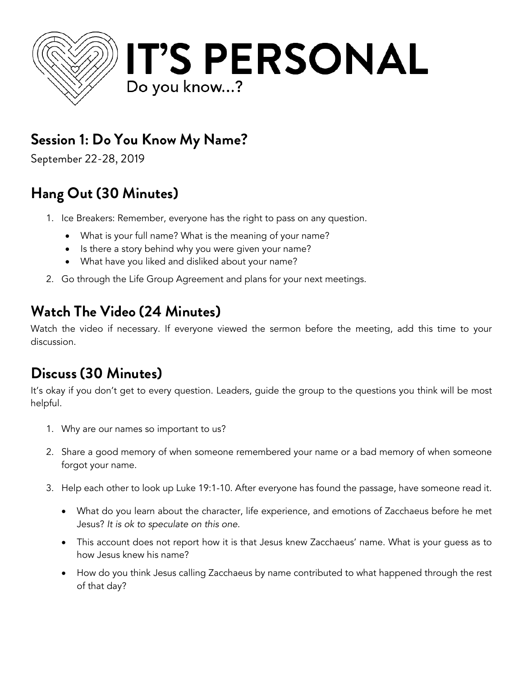

## **Session 1: Do You Know My Name?**

September 22-28, 2019

# **Hang Out (30 Minutes)**

- 1. Ice Breakers: Remember, everyone has the right to pass on any question.
	- What is your full name? What is the meaning of your name?
	- Is there a story behind why you were given your name?
	- What have you liked and disliked about your name?
- 2. Go through the Life Group Agreement and plans for your next meetings.

#### **Watch The Video (24 Minutes)**

Watch the video if necessary. If everyone viewed the sermon before the meeting, add this time to your discussion.

## **Discuss (30 Minutes)**

It's okay if you don't get to every question. Leaders, guide the group to the questions you think will be most helpful.

- 1. Why are our names so important to us?
- 2. Share a good memory of when someone remembered your name or a bad memory of when someone forgot your name.
- 3. Help each other to look up Luke 19:1-10. After everyone has found the passage, have someone read it.
	- What do you learn about the character, life experience, and emotions of Zacchaeus before he met Jesus? *It is ok to speculate on this one.*
	- This account does not report how it is that Jesus knew Zacchaeus' name. What is your guess as to how Jesus knew his name?
	- How do you think Jesus calling Zacchaeus by name contributed to what happened through the rest of that day?